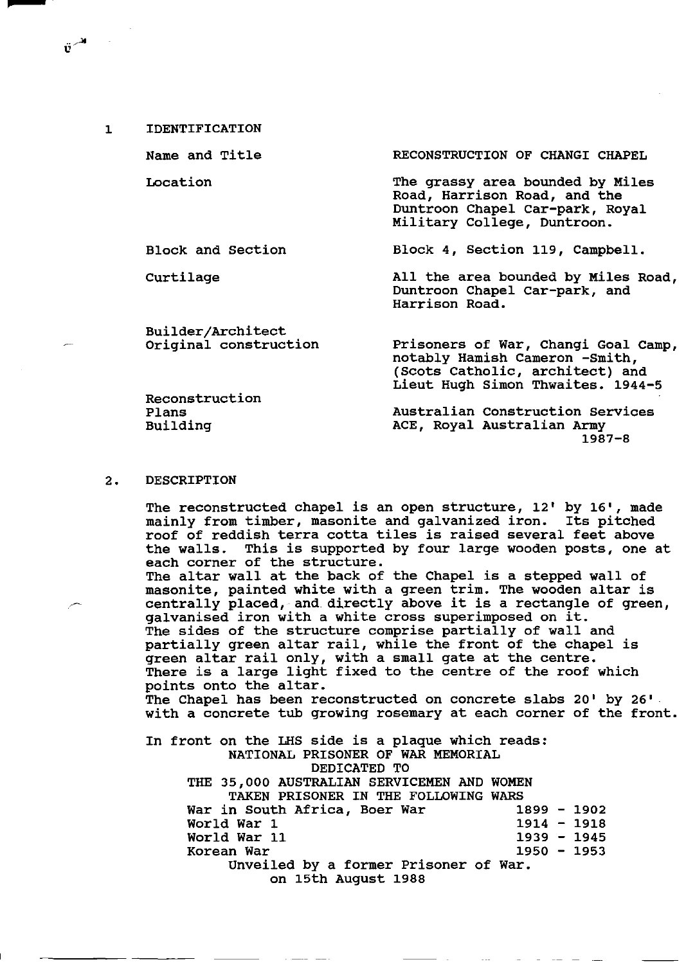Name and Title

Location

Block and section

Curtilage

Builder/Architect Original construction

Reconstruction Plans Building

RECONSTRUCTION OF CHANGI CHAPEL

The grassy area bounded by Miles Road, Harrison Road, and the Duntroon Chapel Car-park, Royal Military College, Duntroon.

Block 4, Section 119, Campbell.

All the area bounded by Miles Road, Duntroon Chapel car-park, and Harrison Road.

Prisoners of War, Changi Goal Camp, notably Hamish Cameron -smith, (Scots catholic, architect) and Lieut Hugh Simon Thwaites. 1944-5

Australian Construction Services ACE, Royal Australian Army 1987-8

#### 2. DESCRIPTION

The reconstructed chapel is an open structure,  $12'$  by  $16'$ , made mainly from timber, masonite and galvanized iron. Its pitched roof of reddish terra cotta tiles is raised several feet above the walls. This is supported by four large wooden posts, one at each corner of the structure. The altar wall at the back of the Chapel is a stepped wall of masonite, painted white with a green trim. The wooden altar is centrally placed, and directly above it is a rectangle of green, galvanised iron with a white cross superimposed on it. The sides of the structure comprise partially of wall and partially green altar rail, while the front of the chapel is green altar rail only, with a small gate at the centre. There is a large light fixed to the centre of the roof which points onto the altar. The Chapel has been reconstructed on concrete slabs 20' by 26'. with a concrete tub growing rosemary at each corner of the front. In front on the LHS side is a plaque which reads: NATIONAL PRISONER OF WAR MEMORIAL DEDICATED TO THE 35,000 AUSTRALIAN SERVICEMEN AND WOMEN TAKEN PRISONER IN THE FOLLOWING WARS War in South Africa, Boer War 1899 - 1902<br>World War 1 1918 World War 1 World War 11 1939 - 1945 Korean War 1950 - 1953 Unveiled by a former Prisoner of War. on 15th August 1988

 $\ddot{\mathbf{v}}^{\mathcal{A}}$  .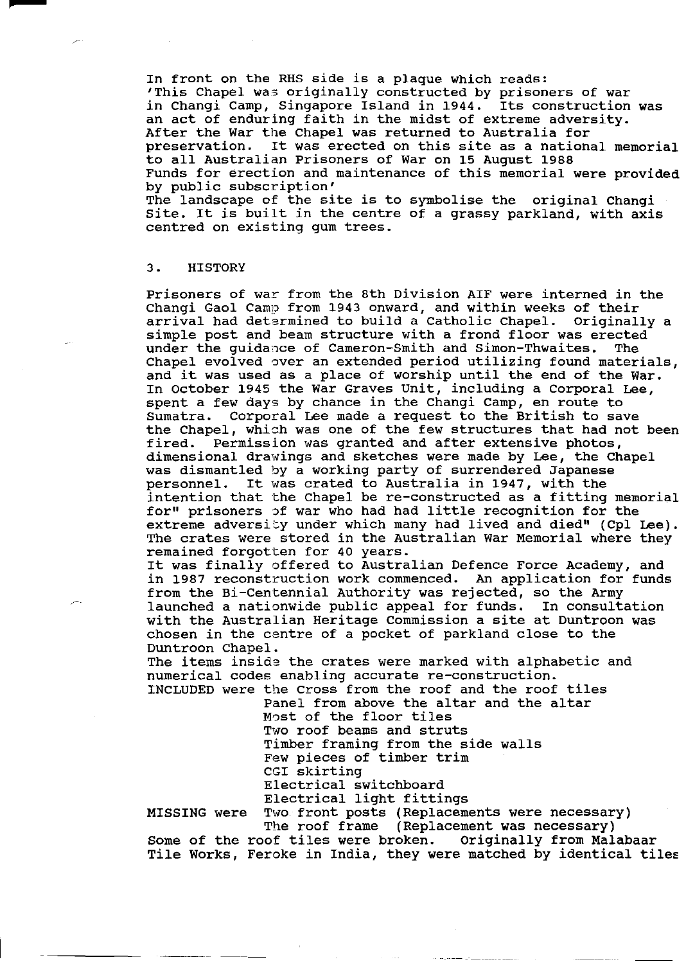In front on the RHS side is a plaque which reads: 'This Chapel was originally constructed by prisoners of war in Changi Camp, Singapore Island in 1944. Its construction was an act of enduring faith in the midst of extreme adversity. After the War the Chapel was returned to Australia for<br>preservation. It was erected on this site as a nation It was erected on this site as a national memorial to all Australian Prisoners of War on 15 August 1988 Funds for erection and maintenance of this memorial were provided by public subscription'

The landscape of the site is to symbolise the original Changi site. It is built in the centre of a grassy parkland, with axis centred on existing gum trees.

## 3. HISTORY

Prisoners of war from the 8th Division AIF were interned in the Changi Gaol Camp from 1943 onward, and within weeks of their arrival had determined to build a Catholic Chapel. Originally a simple post and beam structure with a frond floor was erected under the guidance of Cameron-Smith and Simon-Thwaites. The Chapel evolved over an extended period utilizing found materials, and it was used as a place of worship until the end of the War. In October 1945 the war Graves Unit, including a Corporal Lee, spent a few days by chance in the Changi Camp, en route to Sumatra. Corporal Lee made a request to the British to save the Chapel, which was one of the few structures that had not been<br>fired. Permission was granted and after extensive photos, Fermission was granted and after extensive photos, dimensional drawings and sketches were made by Lee, the Chapel was dismantled by a working party of surrendered Japanese personnel. It was crated to Australia in 1947, with the intention that the Chapel be re-constructed as a fitting memorial for" prisoners of war who had had little recognition for the extreme adversity under which many had lived and died" (Cpl Lee). The crates were stored in the Australian War Memorial where they remained forgotten for 40 years.

It was finally offered to Australian Defence Force Academy, and in 1987 reconstruction work commenced. An application for funds from the Bi-Centennial Authority was rejected, so the Army launched a nationwide public appeal for funds. In consultation with the Australian Heritage Commission a site at Duntroon was chosen in the centre of a pocket of parkland close to the Duntroon Chapel.

The items inside the crates were marked with alphabetic and numerical codes enabling accurate re-construction.

INCLUDED were the cross from the roof and the roof tiles Panel from above the altar and the altar M0st of the floor tiles

Two roof beams and struts Timber framing from the side walls Few pieces of timber trim CGI skirting Electrical switchboard Electrical light fittings

MISSING were Two front posts (Replacements were necessary) The roof frame (Replacement was necessary)

Some of the roof tiles were broken. Originally from Malabaar Tile Works, Feroke in India, they were matched by identical tiles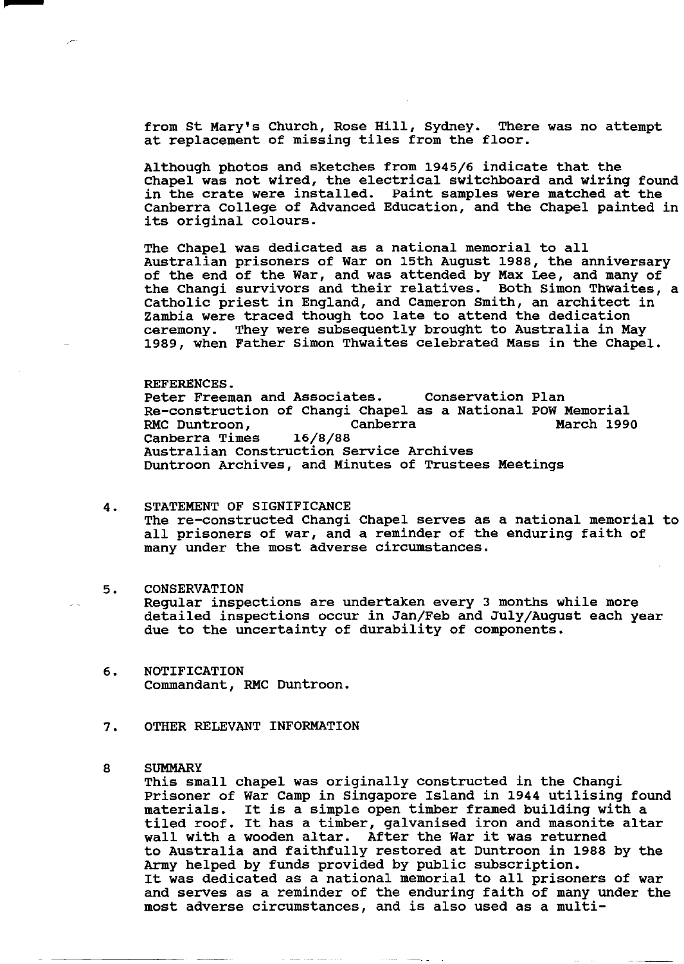from St Mary's Church, Rose Hill, Sydney. There was no attempt at replacement of missing tiles from the floor.

Although photos and sketches from 1945/6 indicate that the Chapel was not wired, the electrical switchboard and wiring found in the crate were installed. Paint samples were matched at the Canberra College of Advanced Education, and the Chapel painted in its original colours.

The Chapel was dedicated as a national memorial to all Australian prisoners of War on 15th August 1988, the anniversary of the end of the War, and was attended by Max Lee, and many of the Changi survivors and their relatives. Both Simon Thwaites, a Catholic priest in England, and Cameron Smith, an architect in Zambia were traced though too late to attend the dedication ceremony. They were subsequently brought to Australia in May 1989, when Father Simon Thwaites celebrated Mass in the Chapel.

REFERENCES.<br>Peter Freeman and Associates. Re-construction of Changi Chapel as a National POW Memorial RMC Duntroon, Canberra Canberra Times Australian Construction service Archives Conservation Plan March 1990 Duntroon Archives, and Minutes of Trustees Meetings

# 4. STATEMENT OF SIGNIFICANCE

The re-constructed Changi Chapel serves as a national memorial to all prisoners of war, and a reminder of the enduring faith of many under the most adverse circumstances.

### 5. CONSERVATION

Regular inspections are undertaken every 3 months while more detailed inspections occur in Jan/Feb and July/August each year due to the uncertainty of durability of components.

- 6. NOTIFICATION Commandant, RMC Duntroon.
- 7. OTHER RELEVANT INFORMATION

# 8 SUMMARY

This small chapel was originally constructed in the Changi Prisoner of War Camp in Singapore Island in 1944 utilising found<br>materials. It is a simple open timber framed building with a It is a simple open timber framed building with a tiled roof. It has a timber, galvanised iron and masonite altar wall with a wooden altar. After the War it was returned to Australia and faithfully restored at Duntroon in 1988 by the Army helped by funds provided by public subscription. It was dedicated as a national memorial to all prisoners of war and serves as a reminder of the enduring faith of many under the most adverse circumstances, and is also used as a multi